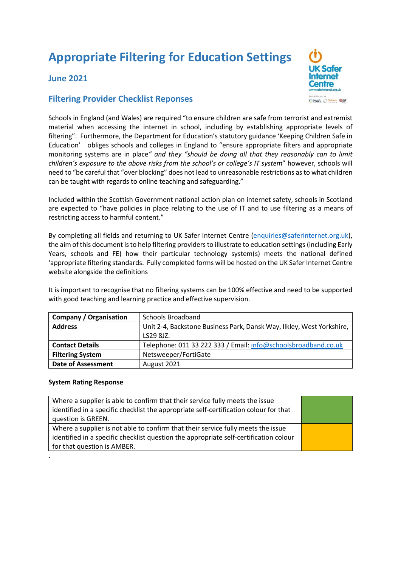# **Appropriate Filtering for Education Settings**

## **June 2021**

### **Filtering Provider Checklist Reponses**

Schools in England (and Wales) are required "to ensure children are safe from terrorist and extremist material when accessing the internet in school, including by establishing appropriate levels of filtering". Furthermore, the Department for Education's statutory guidance 'Keeping Children Safe in Education' obliges schools and colleges in England to "ensure appropriate filters and appropriate monitoring systems are in place*" and they "should be doing all that they reasonably can to limit children's exposure to the above risks from the school's or college's IT system*" however, schools will need to "be careful that "over blocking" does not lead to unreasonable restrictions as to what children can be taught with regards to online teaching and safeguarding."

Included within the Scottish Government national action plan on internet safety, schools in Scotland are expected to "have policies in place relating to the use of IT and to use filtering as a means of restricting access to harmful content."

By completing all fields and returning to UK Safer Internet Centre [\(enquiries@saferinternet.org.uk\)](mailto:enquiries@saferinternet.org.uk), the aim of this document is to help filtering providers to illustrate to education settings (including Early Years, schools and FE) how their particular technology system(s) meets the national defined 'appropriate filtering standards. Fully completed forms will be hosted on the UK Safer Internet Centre website alongside the definitions

It is important to recognise that no filtering systems can be 100% effective and need to be supported with good teaching and learning practice and effective supervision.

| <b>Company / Organisation</b> | Schools Broadband                                                     |  |
|-------------------------------|-----------------------------------------------------------------------|--|
| <b>Address</b>                | Unit 2-4, Backstone Business Park, Dansk Way, Ilkley, West Yorkshire, |  |
|                               | LS29 8JZ.                                                             |  |
| <b>Contact Details</b>        | Telephone: 011 33 222 333 / Email: info@schoolsbroadband.co.uk        |  |
| <b>Filtering System</b>       | Netsweeper/FortiGate                                                  |  |
| <b>Date of Assessment</b>     | August 2021                                                           |  |

#### **System Rating Response**

.

| Where a supplier is able to confirm that their service fully meets the issue          |  |
|---------------------------------------------------------------------------------------|--|
| identified in a specific checklist the appropriate self-certification colour for that |  |
| question is GREEN.                                                                    |  |
| Where a supplier is not able to confirm that their service fully meets the issue      |  |
| identified in a specific checklist question the appropriate self-certification colour |  |
| for that question is AMBER.                                                           |  |

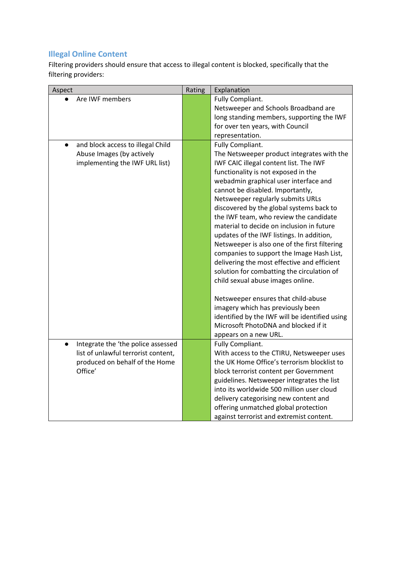# **Illegal Online Content**

Filtering providers should ensure that access to illegal content is blocked, specifically that the filtering providers:

| Aspect                              | Rating | Explanation                                    |
|-------------------------------------|--------|------------------------------------------------|
| Are IWF members                     |        | Fully Compliant.                               |
|                                     |        | Netsweeper and Schools Broadband are           |
|                                     |        | long standing members, supporting the IWF      |
|                                     |        | for over ten years, with Council               |
|                                     |        | representation.                                |
| and block access to illegal Child   |        | Fully Compliant.                               |
| Abuse Images (by actively           |        | The Netsweeper product integrates with the     |
| implementing the IWF URL list)      |        | IWF CAIC illegal content list. The IWF         |
|                                     |        | functionality is not exposed in the            |
|                                     |        | webadmin graphical user interface and          |
|                                     |        | cannot be disabled. Importantly,               |
|                                     |        | Netsweeper regularly submits URLs              |
|                                     |        | discovered by the global systems back to       |
|                                     |        | the IWF team, who review the candidate         |
|                                     |        | material to decide on inclusion in future      |
|                                     |        | updates of the IWF listings. In addition,      |
|                                     |        | Netsweeper is also one of the first filtering  |
|                                     |        | companies to support the Image Hash List,      |
|                                     |        | delivering the most effective and efficient    |
|                                     |        | solution for combatting the circulation of     |
|                                     |        | child sexual abuse images online.              |
|                                     |        |                                                |
|                                     |        | Netsweeper ensures that child-abuse            |
|                                     |        | imagery which has previously been              |
|                                     |        | identified by the IWF will be identified using |
|                                     |        | Microsoft PhotoDNA and blocked if it           |
|                                     |        | appears on a new URL.                          |
| Integrate the 'the police assessed  |        | Fully Compliant.                               |
| list of unlawful terrorist content, |        | With access to the CTIRU, Netsweeper uses      |
| produced on behalf of the Home      |        | the UK Home Office's terrorism blocklist to    |
| Office'                             |        | block terrorist content per Government         |
|                                     |        | guidelines. Netsweeper integrates the list     |
|                                     |        | into its worldwide 500 million user cloud      |
|                                     |        | delivery categorising new content and          |
|                                     |        | offering unmatched global protection           |
|                                     |        | against terrorist and extremist content.       |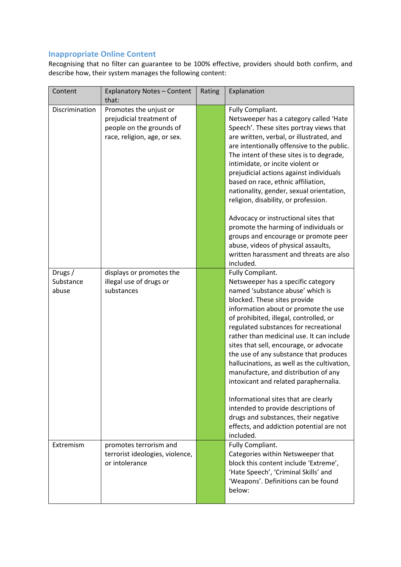## **Inappropriate Online Content**

Recognising that no filter can guarantee to be 100% effective, providers should both confirm, and describe how, their system manages the following content:

| Content                       | <b>Explanatory Notes - Content</b><br>that:                                                                    | Rating | Explanation                                                                                                                                                                                                                                                                                                                                                                                                                                                                                                                                                                                                                                                                                             |
|-------------------------------|----------------------------------------------------------------------------------------------------------------|--------|---------------------------------------------------------------------------------------------------------------------------------------------------------------------------------------------------------------------------------------------------------------------------------------------------------------------------------------------------------------------------------------------------------------------------------------------------------------------------------------------------------------------------------------------------------------------------------------------------------------------------------------------------------------------------------------------------------|
| Discrimination                | Promotes the unjust or<br>prejudicial treatment of<br>people on the grounds of<br>race, religion, age, or sex. |        | Fully Compliant.<br>Netsweeper has a category called 'Hate<br>Speech'. These sites portray views that<br>are written, verbal, or illustrated, and<br>are intentionally offensive to the public.<br>The intent of these sites is to degrade,<br>intimidate, or incite violent or<br>prejudicial actions against individuals<br>based on race, ethnic affiliation,<br>nationality, gender, sexual orientation,<br>religion, disability, or profession.                                                                                                                                                                                                                                                    |
|                               |                                                                                                                |        | Advocacy or instructional sites that<br>promote the harming of individuals or<br>groups and encourage or promote peer<br>abuse, videos of physical assaults,<br>written harassment and threats are also<br>included.                                                                                                                                                                                                                                                                                                                                                                                                                                                                                    |
| Drugs /<br>Substance<br>abuse | displays or promotes the<br>illegal use of drugs or<br>substances                                              |        | Fully Compliant.<br>Netsweeper has a specific category<br>named 'substance abuse' which is<br>blocked. These sites provide<br>information about or promote the use<br>of prohibited, illegal, controlled, or<br>regulated substances for recreational<br>rather than medicinal use. It can include<br>sites that sell, encourage, or advocate<br>the use of any substance that produces<br>hallucinations, as well as the cultivation,<br>manufacture, and distribution of any<br>intoxicant and related paraphernalia.<br>Informational sites that are clearly<br>intended to provide descriptions of<br>drugs and substances, their negative<br>effects, and addiction potential are not<br>included. |
| Extremism                     | promotes terrorism and<br>terrorist ideologies, violence,<br>or intolerance                                    |        | Fully Compliant.<br>Categories within Netsweeper that<br>block this content include 'Extreme',<br>'Hate Speech', 'Criminal Skills' and<br>'Weapons'. Definitions can be found<br>below:                                                                                                                                                                                                                                                                                                                                                                                                                                                                                                                 |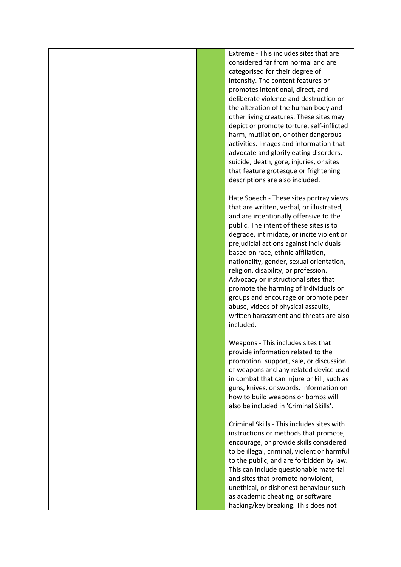|  | Extreme - This includes sites that are      |
|--|---------------------------------------------|
|  | considered far from normal and are          |
|  | categorised for their degree of             |
|  |                                             |
|  | intensity. The content features or          |
|  | promotes intentional, direct, and           |
|  | deliberate violence and destruction or      |
|  | the alteration of the human body and        |
|  | other living creatures. These sites may     |
|  | depict or promote torture, self-inflicted   |
|  | harm, mutilation, or other dangerous        |
|  | activities. Images and information that     |
|  | advocate and glorify eating disorders,      |
|  | suicide, death, gore, injuries, or sites    |
|  | that feature grotesque or frightening       |
|  | descriptions are also included.             |
|  |                                             |
|  | Hate Speech - These sites portray views     |
|  | that are written, verbal, or illustrated,   |
|  | and are intentionally offensive to the      |
|  | public. The intent of these sites is to     |
|  |                                             |
|  | degrade, intimidate, or incite violent or   |
|  | prejudicial actions against individuals     |
|  | based on race, ethnic affiliation,          |
|  | nationality, gender, sexual orientation,    |
|  | religion, disability, or profession.        |
|  | Advocacy or instructional sites that        |
|  | promote the harming of individuals or       |
|  | groups and encourage or promote peer        |
|  | abuse, videos of physical assaults,         |
|  | written harassment and threats are also     |
|  | included.                                   |
|  |                                             |
|  | Weapons - This includes sites that          |
|  | provide information related to the          |
|  | promotion, support, sale, or discussion     |
|  | of weapons and any related device used      |
|  | in combat that can injure or kill, such as  |
|  | guns, knives, or swords. Information on     |
|  | how to build weapons or bombs will          |
|  | also be included in 'Criminal Skills'.      |
|  |                                             |
|  | Criminal Skills - This includes sites with  |
|  |                                             |
|  | instructions or methods that promote,       |
|  | encourage, or provide skills considered     |
|  | to be illegal, criminal, violent or harmful |
|  | to the public, and are forbidden by law.    |
|  | This can include questionable material      |
|  | and sites that promote nonviolent,          |
|  | unethical, or dishonest behaviour such      |
|  | as academic cheating, or software           |
|  | hacking/key breaking. This does not         |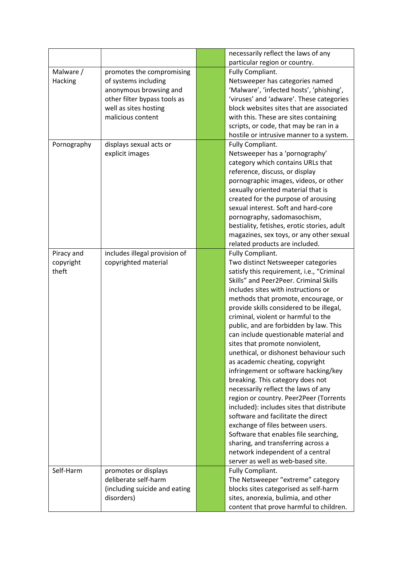|             |                               | necessarily reflect the laws of any         |
|-------------|-------------------------------|---------------------------------------------|
|             |                               | particular region or country.               |
| Malware /   | promotes the compromising     | Fully Compliant.                            |
| Hacking     | of systems including          | Netsweeper has categories named             |
|             | anonymous browsing and        | 'Malware', 'infected hosts', 'phishing',    |
|             | other filter bypass tools as  | 'viruses' and 'adware'. These categories    |
|             | well as sites hosting         | block websites sites that are associated    |
|             | malicious content             | with this. These are sites containing       |
|             |                               | scripts, or code, that may be ran in a      |
|             |                               | hostile or intrusive manner to a system.    |
| Pornography | displays sexual acts or       | Fully Compliant.                            |
|             | explicit images               | Netsweeper has a 'pornography'              |
|             |                               | category which contains URLs that           |
|             |                               | reference, discuss, or display              |
|             |                               | pornographic images, videos, or other       |
|             |                               | sexually oriented material that is          |
|             |                               | created for the purpose of arousing         |
|             |                               | sexual interest. Soft and hard-core         |
|             |                               | pornography, sadomasochism,                 |
|             |                               | bestiality, fetishes, erotic stories, adult |
|             |                               | magazines, sex toys, or any other sexual    |
|             |                               | related products are included.              |
| Piracy and  | includes illegal provision of | Fully Compliant.                            |
| copyright   | copyrighted material          | Two distinct Netsweeper categories          |
| theft       |                               | satisfy this requirement, i.e., "Criminal   |
|             |                               | Skills" and Peer2Peer. Criminal Skills      |
|             |                               | includes sites with instructions or         |
|             |                               | methods that promote, encourage, or         |
|             |                               | provide skills considered to be illegal,    |
|             |                               | criminal, violent or harmful to the         |
|             |                               | public, and are forbidden by law. This      |
|             |                               | can include questionable material and       |
|             |                               | sites that promote nonviolent,              |
|             |                               | unethical, or dishonest behaviour such      |
|             |                               | as academic cheating, copyright             |
|             |                               | infringement or software hacking/key        |
|             |                               | breaking. This category does not            |
|             |                               | necessarily reflect the laws of any         |
|             |                               | region or country. Peer2Peer (Torrents      |
|             |                               | included): includes sites that distribute   |
|             |                               | software and facilitate the direct          |
|             |                               | exchange of files between users.            |
|             |                               | Software that enables file searching,       |
|             |                               | sharing, and transferring across a          |
|             |                               | network independent of a central            |
|             |                               | server as well as web-based site.           |
| Self-Harm   | promotes or displays          | Fully Compliant.                            |
|             | deliberate self-harm          | The Netsweeper "extreme" category           |
|             | (including suicide and eating | blocks sites categorised as self-harm       |
|             | disorders)                    | sites, anorexia, bulimia, and other         |
|             |                               | content that prove harmful to children.     |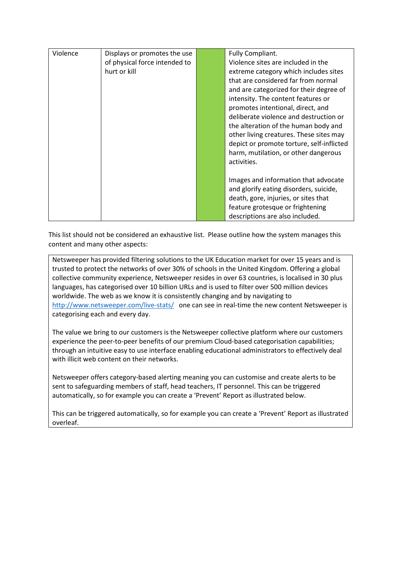| Violence | Displays or promotes the use<br>of physical force intended to<br>hurt or kill | Fully Compliant.<br>Violence sites are included in the<br>extreme category which includes sites<br>that are considered far from normal<br>and are categorized for their degree of<br>intensity. The content features or<br>promotes intentional, direct, and<br>deliberate violence and destruction or<br>the alteration of the human body and<br>other living creatures. These sites may<br>depict or promote torture, self-inflicted<br>harm, mutilation, or other dangerous<br>activities. |
|----------|-------------------------------------------------------------------------------|-----------------------------------------------------------------------------------------------------------------------------------------------------------------------------------------------------------------------------------------------------------------------------------------------------------------------------------------------------------------------------------------------------------------------------------------------------------------------------------------------|
|          |                                                                               | Images and information that advocate<br>and glorify eating disorders, suicide,<br>death, gore, injuries, or sites that<br>feature grotesque or frightening<br>descriptions are also included.                                                                                                                                                                                                                                                                                                 |

This list should not be considered an exhaustive list. Please outline how the system manages this content and many other aspects:

Netsweeper has provided filtering solutions to the UK Education market for over 15 years and is trusted to protect the networks of over 30% of schools in the United Kingdom. Offering a global collective community experience, Netsweeper resides in over 63 countries, is localised in 30 plus languages, has categorised over 10 billion URLs and is used to filter over 500 million devices worldwide. The web as we know it is consistently changing and by navigating to <http://www.netsweeper.com/live-stats/>one can see in real-time the new content Netsweeper is categorising each and every day.

The value we bring to our customers is the Netsweeper collective platform where our customers experience the peer-to-peer benefits of our premium Cloud-based categorisation capabilities; through an intuitive easy to use interface enabling educational administrators to effectively deal with illicit web content on their networks.

Netsweeper offers category-based alerting meaning you can customise and create alerts to be sent to safeguarding members of staff, head teachers, IT personnel. This can be triggered automatically, so for example you can create a 'Prevent' Report as illustrated below.

This can be triggered automatically, so for example you can create a 'Prevent' Report as illustrated overleaf.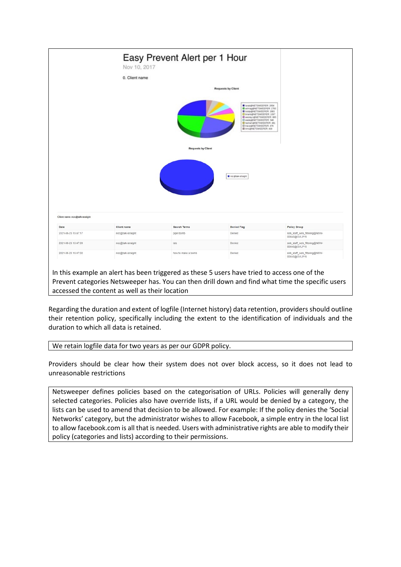

accessed the content as well as their location

Regarding the duration and extent of logfile (Internet history) data retention, providers should outline their retention policy, specifically including the extent to the identification of individuals and the duration to which all data is retained.

We retain logfile data for two years as per our GDPR policy.

Providers should be clear how their system does not over block access, so it does not lead to unreasonable restrictions

Netsweeper defines policies based on the categorisation of URLs. Policies will generally deny selected categories. Policies also have override lists, if a URL would be denied by a category, the lists can be used to amend that decision to be allowed. For example: If the policy denies the 'Social Networks' category, but the administrator wishes to allow Facebook, a simple entry in the local list to allow facebook.com is all that is needed. Users with administrative rights are able to modify their policy (categories and lists) according to their permissions.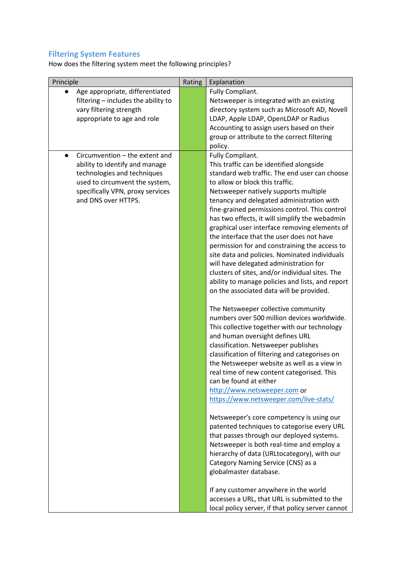# **Filtering System Features**

How does the filtering system meet the following principles?

| Principle                           | Rating | Explanation                                                                                     |
|-------------------------------------|--------|-------------------------------------------------------------------------------------------------|
| Age appropriate, differentiated     |        | Fully Compliant.                                                                                |
| filtering - includes the ability to |        | Netsweeper is integrated with an existing                                                       |
| vary filtering strength             |        | directory system such as Microsoft AD, Novell                                                   |
| appropriate to age and role         |        | LDAP, Apple LDAP, OpenLDAP or Radius                                                            |
|                                     |        | Accounting to assign users based on their                                                       |
|                                     |        | group or attribute to the correct filtering                                                     |
|                                     |        | policy.                                                                                         |
| Circumvention - the extent and      |        | Fully Compliant.                                                                                |
| ability to identify and manage      |        | This traffic can be identified alongside                                                        |
| technologies and techniques         |        | standard web traffic. The end user can choose                                                   |
| used to circumvent the system,      |        | to allow or block this traffic.                                                                 |
| specifically VPN, proxy services    |        | Netsweeper natively supports multiple                                                           |
| and DNS over HTTPS.                 |        | tenancy and delegated administration with                                                       |
|                                     |        | fine-grained permissions control. This control                                                  |
|                                     |        | has two effects, it will simplify the webadmin<br>graphical user interface removing elements of |
|                                     |        | the interface that the user does not have                                                       |
|                                     |        | permission for and constraining the access to                                                   |
|                                     |        | site data and policies. Nominated individuals                                                   |
|                                     |        | will have delegated administration for                                                          |
|                                     |        | clusters of sites, and/or individual sites. The                                                 |
|                                     |        | ability to manage policies and lists, and report                                                |
|                                     |        | on the associated data will be provided.                                                        |
|                                     |        |                                                                                                 |
|                                     |        | The Netsweeper collective community                                                             |
|                                     |        | numbers over 500 million devices worldwide.                                                     |
|                                     |        | This collective together with our technology                                                    |
|                                     |        | and human oversight defines URL                                                                 |
|                                     |        | classification. Netsweeper publishes                                                            |
|                                     |        | classification of filtering and categorises on                                                  |
|                                     |        | the Netsweeper website as well as a view in                                                     |
|                                     |        | real time of new content categorised. This                                                      |
|                                     |        | can be found at either                                                                          |
|                                     |        | http://www.netsweeper.com or                                                                    |
|                                     |        | https://www.netsweeper.com/live-stats/                                                          |
|                                     |        |                                                                                                 |
|                                     |        | Netsweeper's core competency is using our                                                       |
|                                     |        | patented techniques to categorise every URL                                                     |
|                                     |        | that passes through our deployed systems.                                                       |
|                                     |        | Netsweeper is both real-time and employ a                                                       |
|                                     |        | hierarchy of data (URLtocategory), with our                                                     |
|                                     |        | Category Naming Service (CNS) as a                                                              |
|                                     |        | globalmaster database.                                                                          |
|                                     |        | If any customer anywhere in the world                                                           |
|                                     |        | accesses a URL, that URL is submitted to the                                                    |
|                                     |        | local policy server, if that policy server cannot                                               |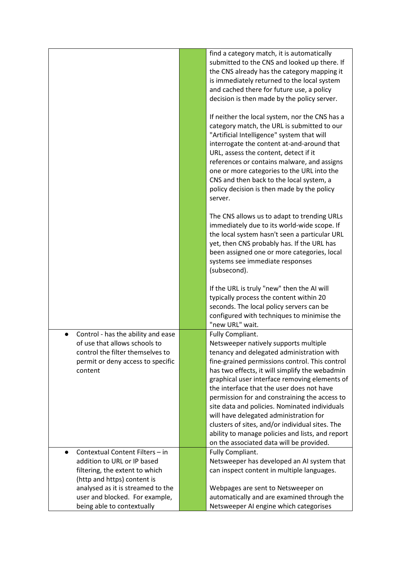|                                                                                                                                                         | find a category match, it is automatically<br>submitted to the CNS and looked up there. If<br>the CNS already has the category mapping it<br>is immediately returned to the local system<br>and cached there for future use, a policy<br>decision is then made by the policy server.                                                                                                                                                                                                                                                                                                                    |
|---------------------------------------------------------------------------------------------------------------------------------------------------------|---------------------------------------------------------------------------------------------------------------------------------------------------------------------------------------------------------------------------------------------------------------------------------------------------------------------------------------------------------------------------------------------------------------------------------------------------------------------------------------------------------------------------------------------------------------------------------------------------------|
|                                                                                                                                                         | If neither the local system, nor the CNS has a<br>category match, the URL is submitted to our<br>"Artificial Intelligence" system that will<br>interrogate the content at-and-around that<br>URL, assess the content, detect if it<br>references or contains malware, and assigns<br>one or more categories to the URL into the<br>CNS and then back to the local system, a<br>policy decision is then made by the policy<br>server.                                                                                                                                                                    |
|                                                                                                                                                         | The CNS allows us to adapt to trending URLs<br>immediately due to its world-wide scope. If<br>the local system hasn't seen a particular URL<br>yet, then CNS probably has. If the URL has<br>been assigned one or more categories, local<br>systems see immediate responses<br>(subsecond).                                                                                                                                                                                                                                                                                                             |
|                                                                                                                                                         | If the URL is truly "new" then the AI will<br>typically process the content within 20<br>seconds. The local policy servers can be<br>configured with techniques to minimise the<br>"new URL" wait.                                                                                                                                                                                                                                                                                                                                                                                                      |
| Control - has the ability and ease<br>of use that allows schools to<br>control the filter themselves to<br>permit or deny access to specific<br>content | Fully Compliant.<br>Netsweeper natively supports multiple<br>tenancy and delegated administration with<br>fine-grained permissions control. This control<br>has two effects, it will simplify the webadmin<br>graphical user interface removing elements of<br>the interface that the user does not have<br>permission for and constraining the access to<br>site data and policies. Nominated individuals<br>will have delegated administration for<br>clusters of sites, and/or individual sites. The<br>ability to manage policies and lists, and report<br>on the associated data will be provided. |
| Contextual Content Filters - in<br>$\bullet$<br>addition to URL or IP based<br>filtering, the extent to which                                           | Fully Compliant.<br>Netsweeper has developed an AI system that<br>can inspect content in multiple languages.                                                                                                                                                                                                                                                                                                                                                                                                                                                                                            |
| (http and https) content is                                                                                                                             |                                                                                                                                                                                                                                                                                                                                                                                                                                                                                                                                                                                                         |
| analysed as it is streamed to the                                                                                                                       | Webpages are sent to Netsweeper on                                                                                                                                                                                                                                                                                                                                                                                                                                                                                                                                                                      |
| user and blocked. For example,                                                                                                                          | automatically and are examined through the                                                                                                                                                                                                                                                                                                                                                                                                                                                                                                                                                              |
| being able to contextually                                                                                                                              | Netsweeper AI engine which categorises                                                                                                                                                                                                                                                                                                                                                                                                                                                                                                                                                                  |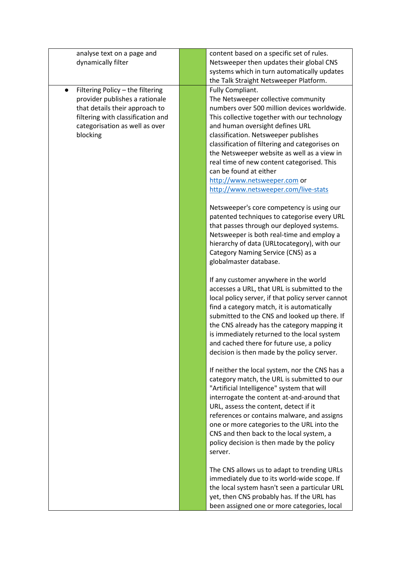| analyse text on a page and                    | content based on a specific set of rules.                                                                                                                                          |
|-----------------------------------------------|------------------------------------------------------------------------------------------------------------------------------------------------------------------------------------|
| dynamically filter                            | Netsweeper then updates their global CNS                                                                                                                                           |
|                                               | systems which in turn automatically updates                                                                                                                                        |
|                                               | the Talk Straight Netsweeper Platform.                                                                                                                                             |
| Filtering Policy - the filtering<br>$\bullet$ | Fully Compliant.                                                                                                                                                                   |
| provider publishes a rationale                | The Netsweeper collective community                                                                                                                                                |
| that details their approach to                | numbers over 500 million devices worldwide.                                                                                                                                        |
| filtering with classification and             | This collective together with our technology                                                                                                                                       |
| categorisation as well as over                | and human oversight defines URL                                                                                                                                                    |
| blocking                                      | classification. Netsweeper publishes                                                                                                                                               |
|                                               | classification of filtering and categorises on                                                                                                                                     |
|                                               | the Netsweeper website as well as a view in                                                                                                                                        |
|                                               | real time of new content categorised. This                                                                                                                                         |
|                                               | can be found at either                                                                                                                                                             |
|                                               | http://www.netsweeper.com or                                                                                                                                                       |
|                                               | http://www.netsweeper.com/live-stats                                                                                                                                               |
|                                               | Netsweeper's core competency is using our<br>patented techniques to categorise every URL<br>that passes through our deployed systems.<br>Netsweeper is both real-time and employ a |
|                                               | hierarchy of data (URLtocategory), with our                                                                                                                                        |
|                                               | Category Naming Service (CNS) as a                                                                                                                                                 |
|                                               | globalmaster database.                                                                                                                                                             |
|                                               |                                                                                                                                                                                    |
|                                               | If any customer anywhere in the world<br>accesses a URL, that URL is submitted to the                                                                                              |
|                                               | local policy server, if that policy server cannot                                                                                                                                  |
|                                               | find a category match, it is automatically                                                                                                                                         |
|                                               | submitted to the CNS and looked up there. If                                                                                                                                       |
|                                               | the CNS already has the category mapping it                                                                                                                                        |
|                                               | is immediately returned to the local system                                                                                                                                        |
|                                               | and cached there for future use, a policy                                                                                                                                          |
|                                               | decision is then made by the policy server.                                                                                                                                        |
|                                               | If neither the local system, nor the CNS has a                                                                                                                                     |
|                                               | category match, the URL is submitted to our<br>"Artificial Intelligence" system that will                                                                                          |
|                                               | interrogate the content at-and-around that                                                                                                                                         |
|                                               | URL, assess the content, detect if it                                                                                                                                              |
|                                               | references or contains malware, and assigns                                                                                                                                        |
|                                               | one or more categories to the URL into the                                                                                                                                         |
|                                               | CNS and then back to the local system, a                                                                                                                                           |
|                                               | policy decision is then made by the policy                                                                                                                                         |
|                                               | server.                                                                                                                                                                            |
|                                               |                                                                                                                                                                                    |
|                                               | The CNS allows us to adapt to trending URLs                                                                                                                                        |
|                                               | immediately due to its world-wide scope. If<br>the local system hasn't seen a particular URL                                                                                       |
|                                               | yet, then CNS probably has. If the URL has                                                                                                                                         |
|                                               | been assigned one or more categories, local                                                                                                                                        |
|                                               |                                                                                                                                                                                    |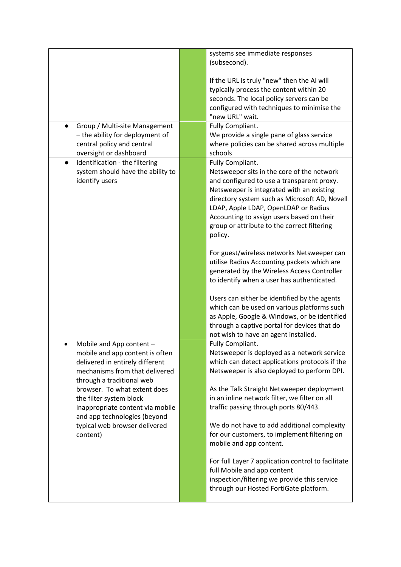|                                                                                                                                                                                                                                                                                              | systems see immediate responses<br>(subsecond).                                                                                                                                                                                                                                                                                                                                                                                                        |
|----------------------------------------------------------------------------------------------------------------------------------------------------------------------------------------------------------------------------------------------------------------------------------------------|--------------------------------------------------------------------------------------------------------------------------------------------------------------------------------------------------------------------------------------------------------------------------------------------------------------------------------------------------------------------------------------------------------------------------------------------------------|
|                                                                                                                                                                                                                                                                                              | If the URL is truly "new" then the AI will<br>typically process the content within 20<br>seconds. The local policy servers can be<br>configured with techniques to minimise the<br>"new URL" wait.                                                                                                                                                                                                                                                     |
| Group / Multi-site Management<br>- the ability for deployment of<br>central policy and central<br>oversight or dashboard                                                                                                                                                                     | Fully Compliant.<br>We provide a single pane of glass service<br>where policies can be shared across multiple<br>schools                                                                                                                                                                                                                                                                                                                               |
| Identification - the filtering<br>$\bullet$<br>system should have the ability to<br>identify users                                                                                                                                                                                           | Fully Compliant.<br>Netsweeper sits in the core of the network<br>and configured to use a transparent proxy.<br>Netsweeper is integrated with an existing<br>directory system such as Microsoft AD, Novell<br>LDAP, Apple LDAP, OpenLDAP or Radius<br>Accounting to assign users based on their<br>group or attribute to the correct filtering<br>policy.<br>For guest/wireless networks Netsweeper can<br>utilise Radius Accounting packets which are |
|                                                                                                                                                                                                                                                                                              | generated by the Wireless Access Controller<br>to identify when a user has authenticated.<br>Users can either be identified by the agents<br>which can be used on various platforms such<br>as Apple, Google & Windows, or be identified<br>through a captive portal for devices that do<br>not wish to have an agent installed.                                                                                                                       |
| Mobile and App content -<br>mobile and app content is often<br>delivered in entirely different<br>mechanisms from that delivered<br>through a traditional web<br>browser. To what extent does<br>the filter system block<br>inappropriate content via mobile<br>and app technologies (beyond | Fully Compliant.<br>Netsweeper is deployed as a network service<br>which can detect applications protocols if the<br>Netsweeper is also deployed to perform DPI.<br>As the Talk Straight Netsweeper deployment<br>in an inline network filter, we filter on all<br>traffic passing through ports 80/443.                                                                                                                                               |
| typical web browser delivered<br>content)                                                                                                                                                                                                                                                    | We do not have to add additional complexity<br>for our customers, to implement filtering on<br>mobile and app content.<br>For full Layer 7 application control to facilitate<br>full Mobile and app content<br>inspection/filtering we provide this service<br>through our Hosted FortiGate platform.                                                                                                                                                  |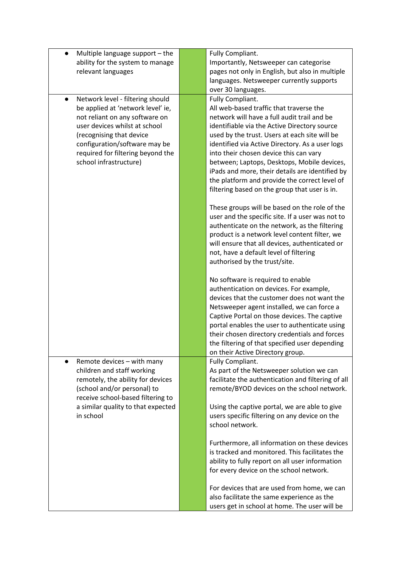| Multiple language support - the               | Fully Compliant.                                   |
|-----------------------------------------------|----------------------------------------------------|
| ability for the system to manage              | Importantly, Netsweeper can categorise             |
| relevant languages                            | pages not only in English, but also in multiple    |
|                                               | languages. Netsweeper currently supports           |
|                                               | over 30 languages.                                 |
| Network level - filtering should<br>$\bullet$ | Fully Compliant.                                   |
| be applied at 'network level' ie,             | All web-based traffic that traverse the            |
| not reliant on any software on                | network will have a full audit trail and be        |
| user devices whilst at school                 | identifiable via the Active Directory source       |
| (recognising that device                      | used by the trust. Users at each site will be      |
| configuration/software may be                 | identified via Active Directory. As a user logs    |
| required for filtering beyond the             | into their chosen device this can vary             |
| school infrastructure)                        | between; Laptops, Desktops, Mobile devices,        |
|                                               | iPads and more, their details are identified by    |
|                                               | the platform and provide the correct level of      |
|                                               | filtering based on the group that user is in.      |
|                                               |                                                    |
|                                               | These groups will be based on the role of the      |
|                                               | user and the specific site. If a user was not to   |
|                                               | authenticate on the network, as the filtering      |
|                                               | product is a network level content filter, we      |
|                                               | will ensure that all devices, authenticated or     |
|                                               | not, have a default level of filtering             |
|                                               | authorised by the trust/site.                      |
|                                               | No software is required to enable                  |
|                                               | authentication on devices. For example,            |
|                                               | devices that the customer does not want the        |
|                                               | Netsweeper agent installed, we can force a         |
|                                               | Captive Portal on those devices. The captive       |
|                                               | portal enables the user to authenticate using      |
|                                               | their chosen directory credentials and forces      |
|                                               | the filtering of that specified user depending     |
|                                               | on their Active Directory group.                   |
| Remote devices - with many                    | Fully Compliant.                                   |
| children and staff working                    | As part of the Netsweeper solution we can          |
| remotely, the ability for devices             | facilitate the authentication and filtering of all |
| (school and/or personal) to                   | remote/BYOD devices on the school network.         |
| receive school-based filtering to             |                                                    |
| a similar quality to that expected            | Using the captive portal, we are able to give      |
| in school                                     | users specific filtering on any device on the      |
|                                               | school network.                                    |
|                                               |                                                    |
|                                               | Furthermore, all information on these devices      |
|                                               | is tracked and monitored. This facilitates the     |
|                                               | ability to fully report on all user information    |
|                                               | for every device on the school network.            |
|                                               |                                                    |
|                                               | For devices that are used from home, we can        |
|                                               | also facilitate the same experience as the         |
|                                               | users get in school at home. The user will be      |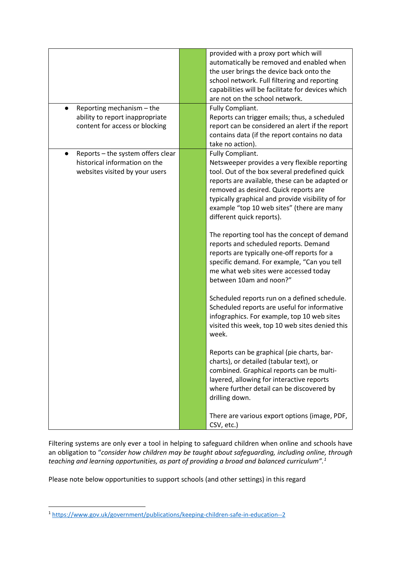| Reporting mechanism - the<br>ability to report inappropriate                                                      | provided with a proxy port which will<br>automatically be removed and enabled when<br>the user brings the device back onto the<br>school network. Full filtering and reporting<br>capabilities will be facilitate for devices which<br>are not on the school network.<br>Fully Compliant.<br>Reports can trigger emails; thus, a scheduled                                                                                                                                                                                                                                                                                                                                                                                                                                                                                                                                                                                                                                                             |
|-------------------------------------------------------------------------------------------------------------------|--------------------------------------------------------------------------------------------------------------------------------------------------------------------------------------------------------------------------------------------------------------------------------------------------------------------------------------------------------------------------------------------------------------------------------------------------------------------------------------------------------------------------------------------------------------------------------------------------------------------------------------------------------------------------------------------------------------------------------------------------------------------------------------------------------------------------------------------------------------------------------------------------------------------------------------------------------------------------------------------------------|
| content for access or blocking                                                                                    | report can be considered an alert if the report<br>contains data (if the report contains no data<br>take no action).                                                                                                                                                                                                                                                                                                                                                                                                                                                                                                                                                                                                                                                                                                                                                                                                                                                                                   |
| Reports - the system offers clear<br>$\bullet$<br>historical information on the<br>websites visited by your users | Fully Compliant.<br>Netsweeper provides a very flexible reporting<br>tool. Out of the box several predefined quick<br>reports are available, these can be adapted or<br>removed as desired. Quick reports are<br>typically graphical and provide visibility of for<br>example "top 10 web sites" (there are many<br>different quick reports).<br>The reporting tool has the concept of demand<br>reports and scheduled reports. Demand<br>reports are typically one-off reports for a<br>specific demand. For example, "Can you tell<br>me what web sites were accessed today<br>between 10am and noon?"<br>Scheduled reports run on a defined schedule.<br>Scheduled reports are useful for informative<br>infographics. For example, top 10 web sites<br>visited this week, top 10 web sites denied this<br>week.<br>Reports can be graphical (pie charts, bar-<br>charts), or detailed (tabular text), or<br>combined. Graphical reports can be multi-<br>layered, allowing for interactive reports |
|                                                                                                                   | where further detail can be discovered by<br>drilling down.<br>There are various export options (image, PDF,<br>CSV, etc.)                                                                                                                                                                                                                                                                                                                                                                                                                                                                                                                                                                                                                                                                                                                                                                                                                                                                             |

Filtering systems are only ever a tool in helping to safeguard children when online and schools have an obligation to "*consider how children may be taught about safeguarding, including online, through teaching and learning opportunities, as part of providing a broad and balanced curriculum".[1](#page-12-0)*

Please note below opportunities to support schools (and other settings) in this regard

<span id="page-12-0"></span><sup>1</sup> <https://www.gov.uk/government/publications/keeping-children-safe-in-education--2>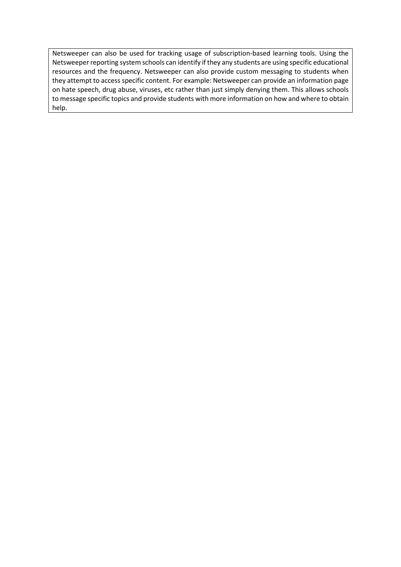Netsweeper can also be used for tracking usage of subscription-based learning tools. Using the Netsweeper reporting system schools can identify if they any students are using specific educational resources and the frequency. Netsweeper can also provide custom messaging to students when they attempt to access specific content. For example: Netsweeper can provide an information page on hate speech, drug abuse, viruses, etc rather than just simply denying them. This allows schools to message specific topics and provide students with more information on how and where to obtain help.